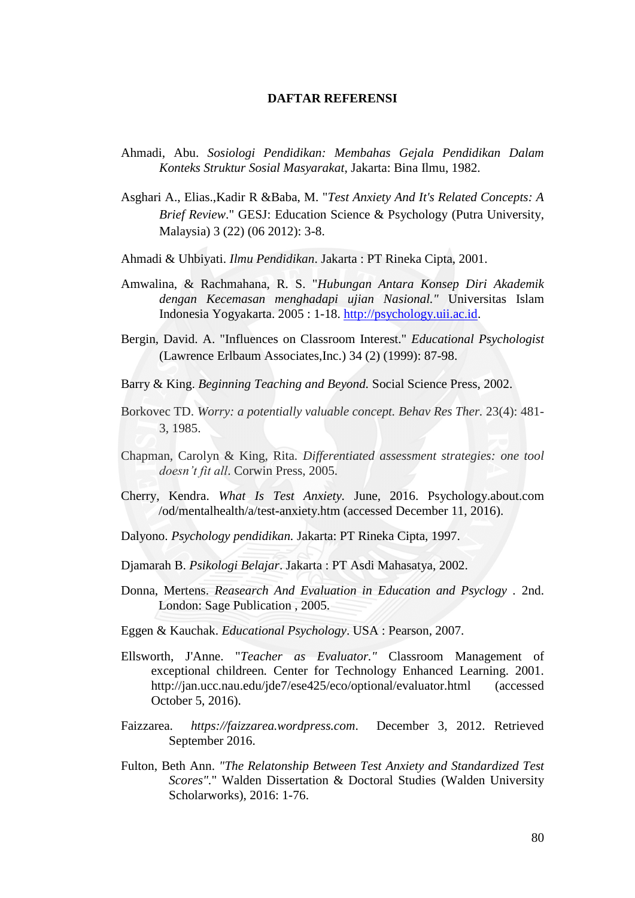## **DAFTAR REFERENSI**

- Ahmadi, Abu. *Sosiologi Pendidikan: Membahas Gejala Pendidikan Dalam Konteks Struktur Sosial Masyarakat*, Jakarta: Bina Ilmu, 1982.
- Asghari A., Elias.,Kadir R &Baba, M. "*Test Anxiety And It's Related Concepts: A Brief Review*." GESJ: Education Science & Psychology (Putra University, Malaysia) 3 (22) (06 2012): 3-8.
- Ahmadi & Uhbiyati. *Ilmu Pendidikan*. Jakarta : PT Rineka Cipta, 2001.
- Amwalina, & Rachmahana, R. S. "*Hubungan Antara Konsep Diri Akademik dengan Kecemasan menghadapi ujian Nasional."* Universitas Islam Indonesia Yogyakarta. 2005 : 1-18. [http://psychology.uii.ac.id.](http://psychology.uii.ac.id/)
- Bergin, David. A. "Influences on Classroom Interest." *Educational Psychologist* (Lawrence Erlbaum Associates,Inc.) 34 (2) (1999): 87-98.
- Barry & King. *Beginning Teaching and Beyond.* Social Science Press, 2002.
- Borkovec TD. *Worry: a potentially valuable concept. Behav Res Ther.* 23(4): 481- 3, 1985.
- Chapman, Carolyn & King, Rita. *Differentiated assessment strategies: one tool doesn't fit all*. Corwin Press, 2005.
- Cherry, Kendra. *What Is Test Anxiety.* June, 2016. Psychology.about.com /od/mentalhealth/a/test-anxiety.htm (accessed December 11, 2016).
- Dalyono. *Psychology pendidikan.* Jakarta: PT Rineka Cipta, 1997.
- Djamarah B. *Psikologi Belajar*. Jakarta : PT Asdi Mahasatya, 2002.
- Donna, Mertens. *Reasearch And Evaluation in Education and Psyclogy .* 2nd. London: Sage Publication , 2005.
- Eggen & Kauchak. *Educational Psychology*. USA : Pearson*,* 2007.
- Ellsworth, J'Anne. "*Teacher as Evaluator."* Classroom Management of exceptional childreen*.* Center for Technology Enhanced Learning. 2001. http://jan.ucc.nau.edu/jde7/ese425/eco/optional/evaluator.html (accessed October 5, 2016).
- Faizzarea. *https://faizzarea.wordpress.com*. December 3, 2012. Retrieved September 2016.
- Fulton, Beth Ann. *"The Relatonship Between Test Anxiety and Standardized Test Scores".*" Walden Dissertation & Doctoral Studies (Walden University Scholarworks), 2016: 1-76.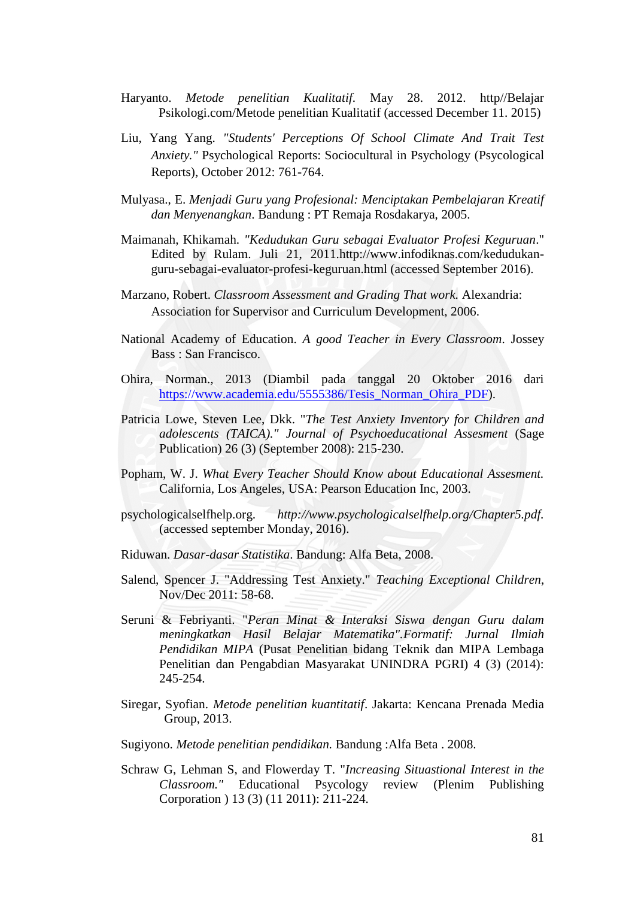- Haryanto. *Metode penelitian Kualitatif.* May 28. 2012. http//Belajar Psikologi.com/Metode penelitian Kualitatif (accessed December 11. 2015)
- Liu, Yang Yang. *"Students' Perceptions Of School Climate And Trait Test Anxiety."* Psychological Reports: Sociocultural in Psychology (Psycological Reports), October 2012: 761-764.
- Mulyasa., E. *Menjadi Guru yang Profesional: Menciptakan Pembelajaran Kreatif dan Menyenangkan*. Bandung : PT Remaja Rosdakarya, 2005.
- Maimanah, Khikamah. *"Kedudukan Guru sebagai Evaluator Profesi Keguruan*." Edited by Rulam. Juli 21, 2011.http://www.infodiknas.com/kedudukanguru-sebagai-evaluator-profesi-keguruan.html (accessed September 2016).
- Marzano, Robert. *Classroom Assessment and Grading That work.* Alexandria: Association for Supervisor and Curriculum Development, 2006.
- National Academy of Education. *A good Teacher in Every Classroom*. Jossey Bass : San Francisco.
- Ohira, Norman., 2013 (Diambil pada tanggal 20 Oktober 2016 dari [https://www.academia.edu/5555386/Tesis\\_Norman\\_Ohira\\_PDF\)](https://www.academia.edu/5555386/Tesis_Norman_Ohira_PDF).
- Patricia Lowe, Steven Lee, Dkk. "*The Test Anxiety Inventory for Children and adolescents (TAICA)." Journal of Psychoeducational Assesment* (Sage Publication) 26 (3) (September 2008): 215-230.
- Popham, W. J. *What Every Teacher Should Know about Educational Assesment.* California, Los Angeles, USA: Pearson Education Inc, 2003.
- psychologicalselfhelp.org. *http://www.psychologicalselfhelp.org/Chapter5.pdf.* (accessed september Monday, 2016).
- Riduwan. *Dasar-dasar Statistika*. Bandung: Alfa Beta, 2008.
- Salend, Spencer J. "Addressing Test Anxiety." *Teaching Exceptional Children*, Nov/Dec 2011: 58-68.
- Seruni & Febriyanti. "*Peran Minat & Interaksi Siswa dengan Guru dalam meningkatkan Hasil Belajar Matematika".Formatif: Jurnal Ilmiah Pendidikan MIPA* (Pusat Penelitian bidang Teknik dan MIPA Lembaga Penelitian dan Pengabdian Masyarakat UNINDRA PGRI) 4 (3) (2014): 245-254.
- Siregar, Syofian. *Metode penelitian kuantitatif*. Jakarta: Kencana Prenada Media Group, 2013.
- Sugiyono. *Metode penelitian pendidikan.* Bandung :Alfa Beta . 2008.
- Schraw G, Lehman S, and Flowerday T. "*Increasing Situastional Interest in the Classroom."* Educational Psycology review (Plenim Publishing Corporation ) 13 (3) (11 2011): 211-224.